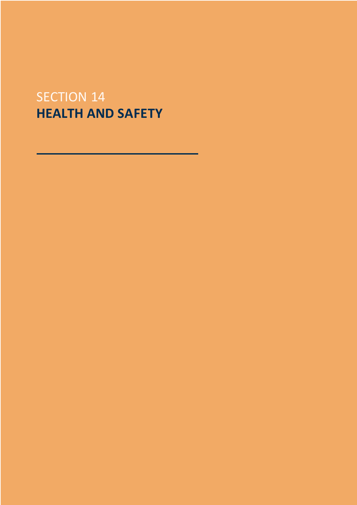# SECTION 14 **HEALTH AND SAFETY**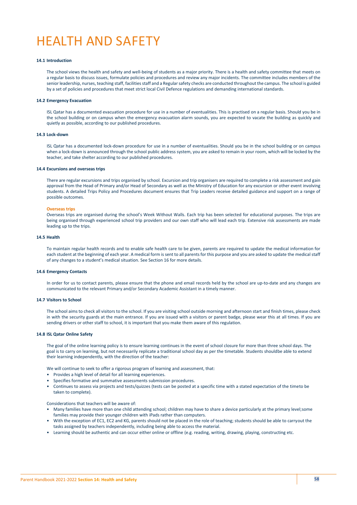# HEALTH AND SAFETY

## **14.1 Introduction**

The school views the health and safety and well-being of students as a major priority. There is a health and safety committee that meets on a regular basis to discuss issues, formulate policies and procedures and review any major incidents. The committee includes members of the senior leadership, nurses, teaching staff, facilities staff and a Regular safety checks are conducted throughout the campus. The school is guided by a set of policies and procedures that meet strict local Civil Defence regulations and demanding international standards.

## **14.2 Emergency Evacuation**

ISL Qatar has a documented evacuation procedure for use in a number of eventualities. This is practised on a regular basis. Should you be in the school building or on campus when the emergency evacuation alarm sounds, you are expected to vacate the building as quickly and quietly as possible, according to our published procedures.

## **14.3 Lock-down**

ISL Qatar has a documented lock-down procedure for use in a number of eventualities. Should you be in the school building or on campus when a lock-down is announced through the school public address system, you are asked to remain in your room, which will be locked by the teacher, and take shelter according to our published procedures.

## **14.4 Excursions and overseas trips**

There are regular excursions and trips organised by school. Excursion and trip organisers are required to complete a risk assessment and gain approval from the Head of Primary and/or Head of Secondary as well as the Ministry of Education for any excursion or other event involving students. A detailed Trips Policy and Procedures document ensures that Trip Leaders receive detailed guidance and support on a range of possible outcomes.

## **Overseas trips**

Overseas trips are organised during the school's Week Without Walls. Each trip has been selected for educational purposes. The trips are being organised through experienced school trip providers and our own staff who will lead each trip. Extensive risk assessments are made leading up to the trips.

### **14.5 Health**

To maintain regular health records and to enable safe health care to be given, parents are required to update the medical information for each student at the beginning of each year. A medical form is sent to all parents for this purpose and you are asked to update the medical staff of any changes to a student's medical situation. See Section 16 for more details.

## **14.6 Emergency Contacts**

In order for us to contact parents, please ensure that the phone and email records held by the school are up-to-date and any changes are communicated to the relevant Primary and/or Secondary Academic Assistant in a timely manner.

## **14.7 Visitors to School**

The school aims to check all visitors to the school. If you are visiting school outside morning and afternoon start and finish times, please check in with the security guards at the main entrance. If you are issued with a visitors or parent badge, please wear this at all times. If you are sending drivers or other staff to school, it is important that you make them aware of this regulation.

#### **14.8 ISL Qatar Online Safety**

The goal of the online learning policy is to ensure learning continues in the event of school closure for more than three school days. The goal is to carry on learning, but not necessarily replicate a traditional school day as per the timetable. Students shouldbe able to extend their learning independently, with the direction of the teacher:

We will continue to seek to offer a rigorous program of learning and assessment, that:

- Provides a high level of detail for all learning experiences.
- Specifies formative and summative assessments submission procedures.
- Continues to assess via projects and tests/quizzes (tests can be posted at a specific time with a stated expectation of the timeto be taken to complete).

Considerations that teachers will be aware of:

- Many families have more than one child attending school; children may have to share a device particularly at the primary level;some families may provide their younger children with iPads rather than computers.
- With the exception of EC1, EC2 and KG, parents should not be placed in the role of teaching; students should be able to carryout the tasks assigned by teachers independently, including being able to access the material.
- Learning should be authentic and can occur either online or offline (e.g. reading, writing, drawing, playing, constructing etc.